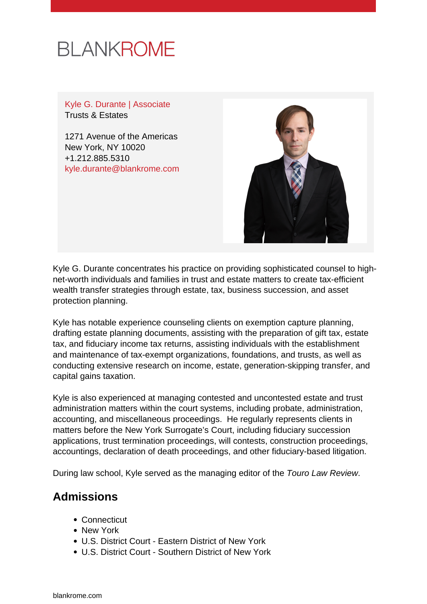## **BLANKROME**

Kyle G. Durante | Associate Trusts & Estates

1271 Avenue of the Americas New York, NY 10020 +1.212.885.5310 [kyle.durante@blankrome.com](mailto:kyle.durante@blankrome.com)



Kyle G. Durante concentrates his practice on providing sophisticated counsel to highnet-worth individuals and families in trust and estate matters to create tax-efficient wealth transfer strategies through estate, tax, business succession, and asset protection planning.

Kyle has notable experience counseling clients on exemption capture planning, drafting estate planning documents, assisting with the preparation of gift tax, estate tax, and fiduciary income tax returns, assisting individuals with the establishment and maintenance of tax-exempt organizations, foundations, and trusts, as well as conducting extensive research on income, estate, generation-skipping transfer, and capital gains taxation.

Kyle is also experienced at managing contested and uncontested estate and trust administration matters within the court systems, including probate, administration, accounting, and miscellaneous proceedings. He regularly represents clients in matters before the New York Surrogate's Court, including fiduciary succession applications, trust termination proceedings, will contests, construction proceedings, accountings, declaration of death proceedings, and other fiduciary-based litigation.

During law school, Kyle served as the managing editor of the Touro Law Review.

## **Admissions**

- Connecticut
- New York
- U.S. District Court Eastern District of New York
- U.S. District Court Southern District of New York